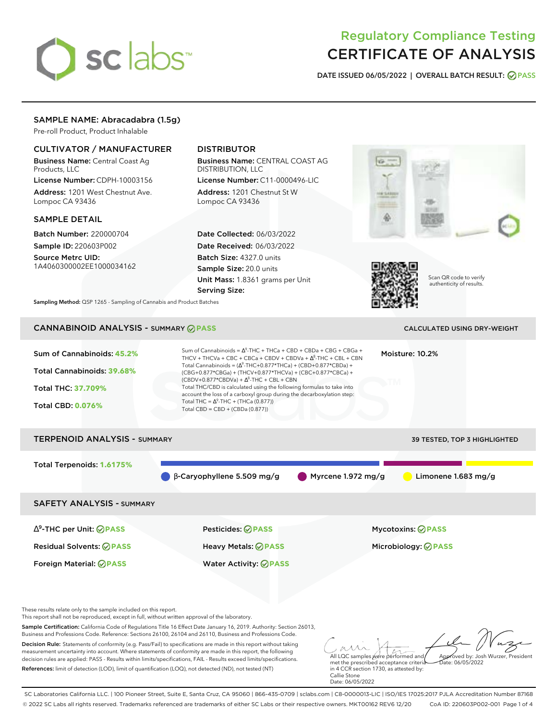# sclabs<sup>\*</sup>

# Regulatory Compliance Testing CERTIFICATE OF ANALYSIS

**DATE ISSUED 06/05/2022 | OVERALL BATCH RESULT: PASS**

# SAMPLE NAME: Abracadabra (1.5g)

Pre-roll Product, Product Inhalable

# CULTIVATOR / MANUFACTURER

Business Name: Central Coast Ag Products, LLC

License Number: CDPH-10003156 Address: 1201 West Chestnut Ave. Lompoc CA 93436

### SAMPLE DETAIL

Batch Number: 220000704 Sample ID: 220603P002

Source Metrc UID: 1A4060300002EE1000034162

# DISTRIBUTOR

Business Name: CENTRAL COAST AG DISTRIBUTION, LLC

License Number: C11-0000496-LIC Address: 1201 Chestnut St W Lompoc CA 93436

Date Collected: 06/03/2022 Date Received: 06/03/2022 Batch Size: 4327.0 units Sample Size: 20.0 units Unit Mass: 1.8361 grams per Unit Serving Size:





Scan QR code to verify authenticity of results.

**Sampling Method:** QSP 1265 - Sampling of Cannabis and Product Batches

# CANNABINOID ANALYSIS - SUMMARY **PASS** CALCULATED USING DRY-WEIGHT

| Sum of Cannabinoids: 45.2%<br>Total Cannabinoids: 39.68%<br><b>Total THC: 37.709%</b><br><b>Total CBD: 0.076%</b> | Sum of Cannabinoids = $\Delta^9$ -THC + THCa + CBD + CBDa + CBG + CBGa +<br>Moisture: 10.2%<br>THCV + THCVa + CBC + CBCa + CBDV + CBDVa + $\Delta^8$ -THC + CBL + CBN<br>Total Cannabinoids = $(\Delta^9$ -THC+0.877*THCa) + (CBD+0.877*CBDa) +<br>(CBG+0.877*CBGa) + (THCV+0.877*THCVa) + (CBC+0.877*CBCa) +<br>$(CBDV+0.877*CBDVa) + \Delta^8$ -THC + CBL + CBN<br>Total THC/CBD is calculated using the following formulas to take into<br>account the loss of a carboxyl group during the decarboxylation step:<br>Total THC = $\Delta^9$ -THC + (THCa (0.877))<br>Total CBD = CBD + (CBDa (0.877)) |                                                        |  |  |  |
|-------------------------------------------------------------------------------------------------------------------|---------------------------------------------------------------------------------------------------------------------------------------------------------------------------------------------------------------------------------------------------------------------------------------------------------------------------------------------------------------------------------------------------------------------------------------------------------------------------------------------------------------------------------------------------------------------------------------------------------|--------------------------------------------------------|--|--|--|
| <b>TERPENOID ANALYSIS - SUMMARY</b>                                                                               |                                                                                                                                                                                                                                                                                                                                                                                                                                                                                                                                                                                                         | <b>39 TESTED, TOP 3 HIGHLIGHTED</b>                    |  |  |  |
| Total Terpenoids: 1.6175%                                                                                         | $\beta$ -Caryophyllene 5.509 mg/g<br>Myrcene 1.972 mg/g                                                                                                                                                                                                                                                                                                                                                                                                                                                                                                                                                 | Limonene $1.683$ mg/g                                  |  |  |  |
| <b>SAFETY ANALYSIS - SUMMARY</b>                                                                                  |                                                                                                                                                                                                                                                                                                                                                                                                                                                                                                                                                                                                         |                                                        |  |  |  |
| $\Delta^9$ -THC per Unit: $\bigcirc$ PASS<br><b>Residual Solvents: ⊘PASS</b><br>Foreign Material: <b>⊘ PASS</b>   | Pesticides: ⊘PASS<br>Heavy Metals: @PASS<br><b>Water Activity: ◎ PASS</b>                                                                                                                                                                                                                                                                                                                                                                                                                                                                                                                               | <b>Mycotoxins: ⊘PASS</b><br>Microbiology: <b>⊘PASS</b> |  |  |  |

These results relate only to the sample included on this report.

This report shall not be reproduced, except in full, without written approval of the laboratory.

Sample Certification: California Code of Regulations Title 16 Effect Date January 16, 2019. Authority: Section 26013, Business and Professions Code. Reference: Sections 26100, 26104 and 26110, Business and Professions Code.

Decision Rule: Statements of conformity (e.g. Pass/Fail) to specifications are made in this report without taking measurement uncertainty into account. Where statements of conformity are made in this report, the following decision rules are applied: PASS - Results within limits/specifications, FAIL - Results exceed limits/specifications. References: limit of detection (LOD), limit of quantification (LOQ), not detected (ND), not tested (NT)

All LQC samples were performed and Approved by: Josh Wurzer, President Date: 06/05/2022

met the prescribed acceptance criteria in 4 CCR section 1730, as attested by: Callie Stone Date: 06/05/2022

SC Laboratories California LLC. | 100 Pioneer Street, Suite E, Santa Cruz, CA 95060 | 866-435-0709 | sclabs.com | C8-0000013-LIC | ISO/IES 17025:2017 PJLA Accreditation Number 87168 © 2022 SC Labs all rights reserved. Trademarks referenced are trademarks of either SC Labs or their respective owners. MKT00162 REV6 12/20 CoA ID: 220603P002-001 Page 1 of 4